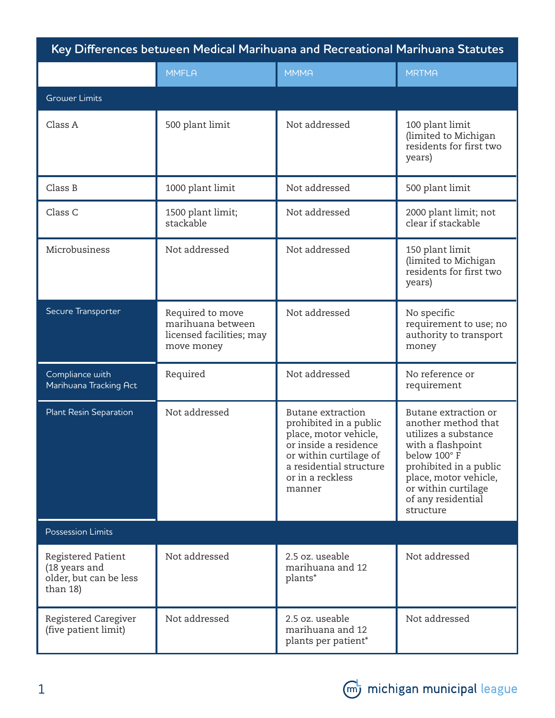| Key Differences between Medical Marihuana and Recreational Marihuana Statutes |                                                                                 |                                                                                                                                                                                  |                                                                                                                                                                                                                      |  |  |
|-------------------------------------------------------------------------------|---------------------------------------------------------------------------------|----------------------------------------------------------------------------------------------------------------------------------------------------------------------------------|----------------------------------------------------------------------------------------------------------------------------------------------------------------------------------------------------------------------|--|--|
|                                                                               | <b>MMFLA</b>                                                                    | <b>MMMA</b>                                                                                                                                                                      | <b>MRTMA</b>                                                                                                                                                                                                         |  |  |
| <b>Grower Limits</b>                                                          |                                                                                 |                                                                                                                                                                                  |                                                                                                                                                                                                                      |  |  |
| Class A                                                                       | 500 plant limit                                                                 | Not addressed                                                                                                                                                                    | 100 plant limit<br>(limited to Michigan<br>residents for first two<br>years)                                                                                                                                         |  |  |
| Class B                                                                       | 1000 plant limit                                                                | Not addressed                                                                                                                                                                    | 500 plant limit                                                                                                                                                                                                      |  |  |
| Class C                                                                       | 1500 plant limit;<br>stackable                                                  | Not addressed                                                                                                                                                                    | 2000 plant limit; not<br>clear if stackable                                                                                                                                                                          |  |  |
| Microbusiness                                                                 | Not addressed                                                                   | Not addressed                                                                                                                                                                    | 150 plant limit<br>(limited to Michigan<br>residents for first two<br>years)                                                                                                                                         |  |  |
| Secure Transporter                                                            | Required to move<br>marihuana between<br>licensed facilities; may<br>move money | Not addressed                                                                                                                                                                    | No specific<br>requirement to use; no<br>authority to transport<br>money                                                                                                                                             |  |  |
| Compliance with<br>Marihuana Tracking Act                                     | Required                                                                        | Not addressed                                                                                                                                                                    | No reference or<br>requirement                                                                                                                                                                                       |  |  |
| <b>Plant Resin Separation</b>                                                 | Not addressed                                                                   | Butane extraction<br>prohibited in a public<br>place, motor vehicle,<br>or inside a residence<br>or within curtilage of<br>a residential structure<br>or in a reckless<br>manner | Butane extraction or<br>another method that<br>utilizes a substance<br>with a flashpoint<br>below 100°F<br>prohibited in a public<br>place, motor vehicle,<br>or within curtilage<br>of any residential<br>structure |  |  |
| <b>Possession Limits</b>                                                      |                                                                                 |                                                                                                                                                                                  |                                                                                                                                                                                                                      |  |  |
| Registered Patient<br>(18 years and<br>older, but can be less<br>than 18)     | Not addressed                                                                   | 2.5 oz. useable<br>marihuana and 12<br>plants*                                                                                                                                   | Not addressed                                                                                                                                                                                                        |  |  |
| Registered Caregiver<br>(five patient limit)                                  | Not addressed                                                                   | 2.5 oz. useable<br>marihuana and 12<br>plants per patient*                                                                                                                       | Not addressed                                                                                                                                                                                                        |  |  |

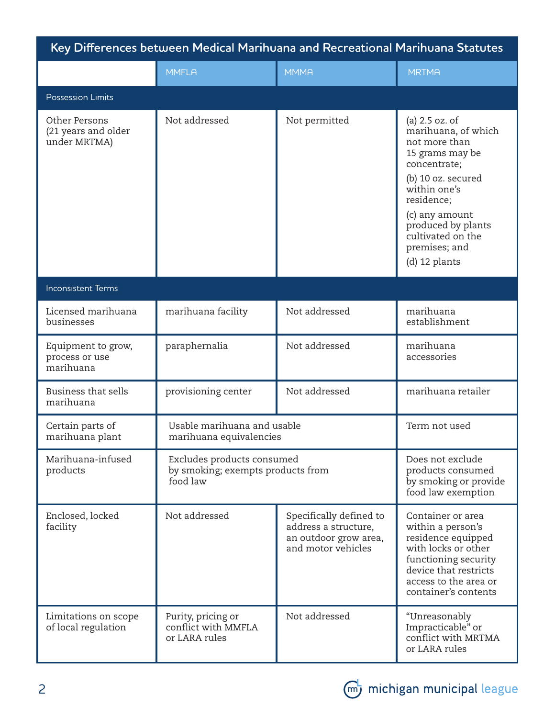| Key Differences between Medical Marihuana and Recreational Marihuana Statutes |                                                                             |                                                                                                |                                                                                                                                                                                                                                              |  |  |  |
|-------------------------------------------------------------------------------|-----------------------------------------------------------------------------|------------------------------------------------------------------------------------------------|----------------------------------------------------------------------------------------------------------------------------------------------------------------------------------------------------------------------------------------------|--|--|--|
|                                                                               | <b>MMFLA</b>                                                                | <b>MMMA</b>                                                                                    | <b>MRTMA</b>                                                                                                                                                                                                                                 |  |  |  |
| <b>Possession Limits</b>                                                      |                                                                             |                                                                                                |                                                                                                                                                                                                                                              |  |  |  |
| Other Persons<br>(21 years and older<br>under MRTMA)                          | Not addressed                                                               | Not permitted                                                                                  | (a) 2.5 oz. of<br>marihuana, of which<br>not more than<br>15 grams may be<br>concentrate;<br>(b) 10 oz. secured<br>within one's<br>residence;<br>(c) any amount<br>produced by plants<br>cultivated on the<br>premises; and<br>(d) 12 plants |  |  |  |
| <b>Inconsistent Terms</b>                                                     |                                                                             |                                                                                                |                                                                                                                                                                                                                                              |  |  |  |
| Licensed marihuana<br>businesses                                              | marihuana facility                                                          | Not addressed                                                                                  | marihuana<br>establishment                                                                                                                                                                                                                   |  |  |  |
| Equipment to grow,<br>process or use<br>marihuana                             | paraphernalia                                                               | Not addressed                                                                                  | marihuana<br>accessories                                                                                                                                                                                                                     |  |  |  |
| <b>Business that sells</b><br>marihuana                                       | provisioning center                                                         | Not addressed                                                                                  | marihuana retailer                                                                                                                                                                                                                           |  |  |  |
| Certain parts of<br>marihuana plant                                           | Usable marihuana and usable<br>marihuana equivalencies                      |                                                                                                | Term not used                                                                                                                                                                                                                                |  |  |  |
| Marihuana-infused<br>products                                                 | Excludes products consumed<br>by smoking; exempts products from<br>food law |                                                                                                | Does not exclude<br>products consumed<br>by smoking or provide<br>food law exemption                                                                                                                                                         |  |  |  |
| Enclosed, locked<br>facility                                                  | Not addressed                                                               | Specifically defined to<br>address a structure,<br>an outdoor grow area,<br>and motor vehicles | Container or area<br>within a person's<br>residence equipped<br>with locks or other<br>functioning security<br>device that restricts<br>access to the area or<br>container's contents                                                        |  |  |  |
| Limitations on scope<br>of local regulation                                   | Purity, pricing or<br>conflict with MMFLA<br>or LARA rules                  | Not addressed                                                                                  | "Unreasonably<br>Impracticable" or<br>conflict with MRTMA<br>or LARA rules                                                                                                                                                                   |  |  |  |